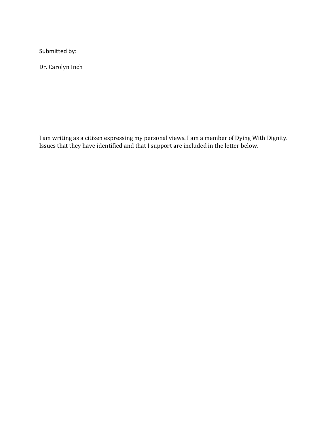Submitted by:

Dr. Carolyn Inch

I am writing as a citizen expressing my personal views. I am a member of Dying With Dignity. Issues that they have identified and that I support are included in the letter below.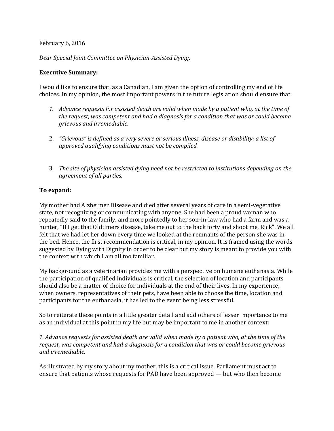### February 6, 2016

*Dear Special Joint Committee on Physician-Assisted Dying,* 

### **Executive Summary:**

I would like to ensure that, as a Canadian, I am given the option of controlling my end of life choices. In my opinion, the most important powers in the future legislation should ensure that:

- *1. Advance requests for assisted death are valid when made by a patient who, at the time of the request, was competent and had a diagnosis for a condition that was or could become grievous and irremediable.*
- 2. *"Grievous" is defined as a very severe or serious illness, disease or disability; a list of approved qualifying conditions must not be compiled.*
- 3. *The site of physician assisted dying need not be restricted to institutions depending on the agreement of all parties.*

# **To expand:**

My mother had Alzheimer Disease and died after several years of care in a semi-vegetative state, not recognizing or communicating with anyone. She had been a proud woman who repeatedly said to the family, and more pointedly to her son-in-law who had a farm and was a hunter, "If I get that Oldtimers disease, take me out to the back forty and shoot me, Rick". We all felt that we had let her down every time we looked at the remnants of the person she was in the bed. Hence, the first recommendation is critical, in my opinion. It is framed using the words suggested by Dying with Dignity in order to be clear but my story is meant to provide you with the context with which I am all too familiar.

My background as a veterinarian provides me with a perspective on humane euthanasia. While the participation of qualified individuals is critical, the selection of location and participants should also be a matter of choice for individuals at the end of their lives. In my experience, when owners, representatives of their pets, have been able to choose the time, location and participants for the euthanasia, it has led to the event being less stressful.

So to reiterate these points in a little greater detail and add others of lesser importance to me as an individual at this point in my life but may be important to me in another context:

*1. Advance requests for assisted death are valid when made by a patient who, at the time of the request, was competent and had a diagnosis for a condition that was or could become grievous and irremediable.* 

As illustrated by my story about my mother, this is a critical issue. Parliament must act to ensure that patients whose requests for PAD have been approved — but who then become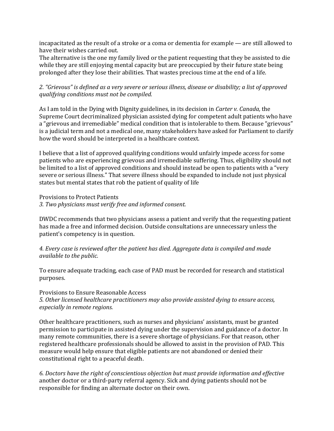incapacitated as the result of a stroke or a coma or dementia for example — are still allowed to have their wishes carried out.

The alternative is the one my family lived or the patient requesting that they be assisted to die while they are still enjoying mental capacity but are preoccupied by their future state being prolonged after they lose their abilities. That wastes precious time at the end of a life.

*2. "Grievous" is defined as a very severe or serious illness, disease or disability; a list of approved qualifying conditions must not be compiled.* 

As I am told in the Dying with Dignity guidelines, in its decision in *Carter v. Canada,* the Supreme Court decriminalized physician assisted dying for competent adult patients who have a "grievous and irremediable" medical condition that is intolerable to them. Because "grievous" is a judicial term and not a medical one, many stakeholders have asked for Parliament to clarify how the word should be interpreted in a healthcare context.

I believe that a list of approved qualifying conditions would unfairly impede access for some patients who are experiencing grievous and irremediable suffering. Thus, eligibility should not be limited to a list of approved conditions and should instead be open to patients with a "very severe or serious illness." That severe illness should be expanded to include not just physical states but mental states that rob the patient of quality of life

Provisions to Protect Patients

*3. Two physicians must verify free and informed consent.* 

DWDC recommends that two physicians assess a patient and verify that the requesting patient has made a free and informed decision. Outside consultations are unnecessary unless the patient's competency is in question.

*4. Every case is reviewed after the patient has died. Aggregate data is compiled and made available to the public.* 

To ensure adequate tracking, each case of PAD must be recorded for research and statistical purposes.

### Provisions to Ensure Reasonable Access

*5. Other licensed healthcare practitioners may also provide assisted dying to ensure access, especially in remote regions.* 

Other healthcare practitioners, such as nurses and physicians' assistants, must be granted permission to participate in assisted dying under the supervision and guidance of a doctor. In many remote communities, there is a severe shortage of physicians. For that reason, other registered healthcare professionals should be allowed to assist in the provision of PAD. This measure would help ensure that eligible patients are not abandoned or denied their constitutional right to a peaceful death.

*6. Doctors have the right of conscientious objection but must provide information and effective*  another doctor or a third-party referral agency. Sick and dying patients should not be responsible for finding an alternate doctor on their own.